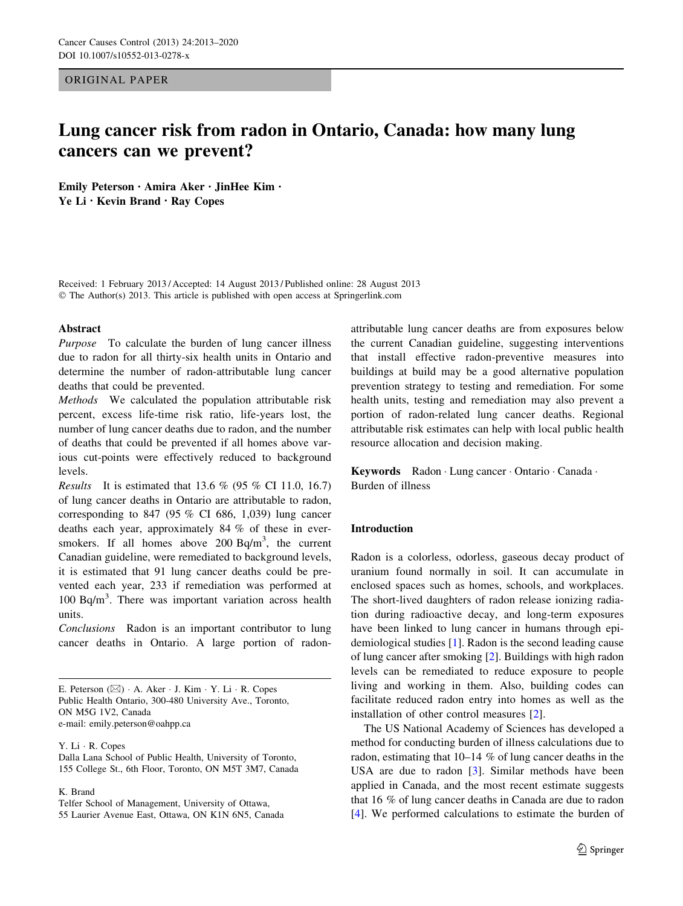ORIGINAL PAPER

# Lung cancer risk from radon in Ontario, Canada: how many lung cancers can we prevent?

Emily Peterson • Amira Aker • JinHee Kim • Ye Li • Kevin Brand • Ray Copes

Received: 1 February 2013 / Accepted: 14 August 2013 / Published online: 28 August 2013 © The Author(s) 2013. This article is published with open access at Springerlink.com

#### Abstract

Purpose To calculate the burden of lung cancer illness due to radon for all thirty-six health units in Ontario and determine the number of radon-attributable lung cancer deaths that could be prevented.

Methods We calculated the population attributable risk percent, excess life-time risk ratio, life-years lost, the number of lung cancer deaths due to radon, and the number of deaths that could be prevented if all homes above various cut-points were effectively reduced to background levels.

*Results* It is estimated that 13.6 % (95 % CI 11.0, 16.7) of lung cancer deaths in Ontario are attributable to radon, corresponding to 847 (95  $%$  CI 686, 1,039) lung cancer deaths each year, approximately 84 % of these in eversmokers. If all homes above  $200$  Bq/m<sup>3</sup>, the current Canadian guideline, were remediated to background levels, it is estimated that 91 lung cancer deaths could be prevented each year, 233 if remediation was performed at 100 Bq/m<sup>3</sup> . There was important variation across health units.

Conclusions Radon is an important contributor to lung cancer deaths in Ontario. A large portion of radon-

Y. Li - R. Copes

K. Brand

Telfer School of Management, University of Ottawa, 55 Laurier Avenue East, Ottawa, ON K1N 6N5, Canada attributable lung cancer deaths are from exposures below the current Canadian guideline, suggesting interventions that install effective radon-preventive measures into buildings at build may be a good alternative population prevention strategy to testing and remediation. For some health units, testing and remediation may also prevent a portion of radon-related lung cancer deaths. Regional attributable risk estimates can help with local public health resource allocation and decision making.

Keywords Radon · Lung cancer · Ontario · Canada · Burden of illness

### Introduction

Radon is a colorless, odorless, gaseous decay product of uranium found normally in soil. It can accumulate in enclosed spaces such as homes, schools, and workplaces. The short-lived daughters of radon release ionizing radiation during radioactive decay, and long-term exposures have been linked to lung cancer in humans through epidemiological studies [\[1](#page-6-0)]. Radon is the second leading cause of lung cancer after smoking [[2\]](#page-6-0). Buildings with high radon levels can be remediated to reduce exposure to people living and working in them. Also, building codes can facilitate reduced radon entry into homes as well as the installation of other control measures [\[2](#page-6-0)].

The US National Academy of Sciences has developed a method for conducting burden of illness calculations due to radon, estimating that 10–14 % of lung cancer deaths in the USA are due to radon [[3\]](#page-6-0). Similar methods have been applied in Canada, and the most recent estimate suggests that 16 % of lung cancer deaths in Canada are due to radon [\[4](#page-6-0)]. We performed calculations to estimate the burden of

E. Peterson ( $\boxtimes$ ) · A. Aker · J. Kim · Y. Li · R. Copes Public Health Ontario, 300-480 University Ave., Toronto, ON M5G 1V2, Canada e-mail: emily.peterson@oahpp.ca

Dalla Lana School of Public Health, University of Toronto, 155 College St., 6th Floor, Toronto, ON M5T 3M7, Canada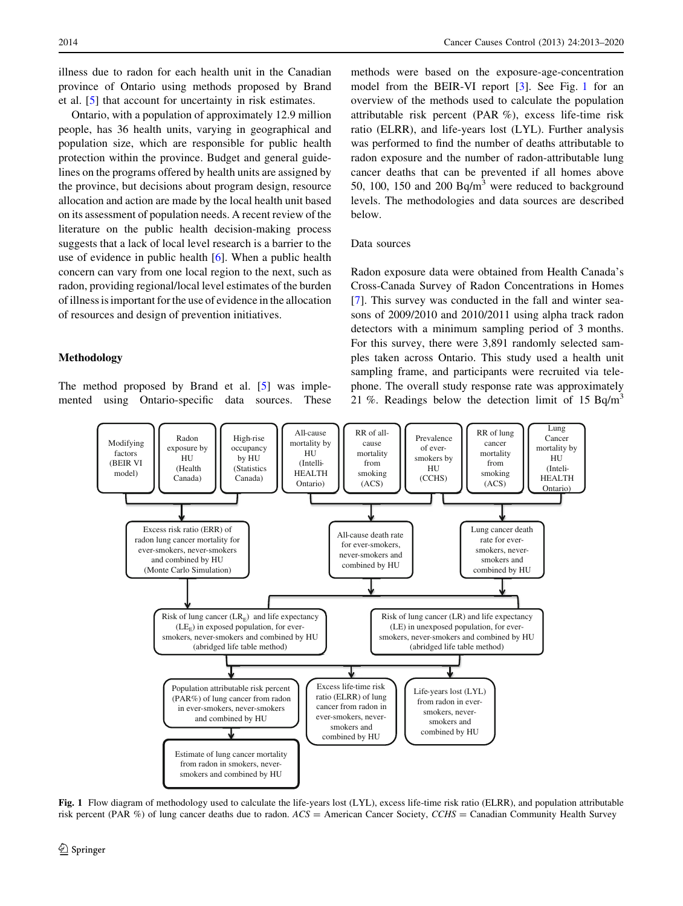illness due to radon for each health unit in the Canadian province of Ontario using methods proposed by Brand et al. [\[5](#page-6-0)] that account for uncertainty in risk estimates.

Ontario, with a population of approximately 12.9 million people, has 36 health units, varying in geographical and population size, which are responsible for public health protection within the province. Budget and general guidelines on the programs offered by health units are assigned by the province, but decisions about program design, resource allocation and action are made by the local health unit based on its assessment of population needs. A recent review of the literature on the public health decision-making process suggests that a lack of local level research is a barrier to the use of evidence in public health [[6\]](#page-6-0). When a public health concern can vary from one local region to the next, such as radon, providing regional/local level estimates of the burden of illness is important for the use of evidence in the allocation of resources and design of prevention initiatives.

#### Methodology

The method proposed by Brand et al. [[5\]](#page-6-0) was implemented using Ontario-specific data sources. These

methods were based on the exposure-age-concentration model from the BEIR-VI report [[3\]](#page-6-0). See Fig. 1 for an overview of the methods used to calculate the population attributable risk percent (PAR %), excess life-time risk ratio (ELRR), and life-years lost (LYL). Further analysis was performed to find the number of deaths attributable to radon exposure and the number of radon-attributable lung cancer deaths that can be prevented if all homes above 50, 100, 150 and 200  $Bq/m<sup>3</sup>$  were reduced to background levels. The methodologies and data sources are described below.

#### Data sources

Radon exposure data were obtained from Health Canada's Cross-Canada Survey of Radon Concentrations in Homes [\[7](#page-6-0)]. This survey was conducted in the fall and winter seasons of 2009/2010 and 2010/2011 using alpha track radon detectors with a minimum sampling period of 3 months. For this survey, there were 3,891 randomly selected samples taken across Ontario. This study used a health unit sampling frame, and participants were recruited via telephone. The overall study response rate was approximately 21 %. Readings below the detection limit of 15  $Bq/m<sup>3</sup>$ 



Fig. 1 Flow diagram of methodology used to calculate the life-years lost (LYL), excess life-time risk ratio (ELRR), and population attributable risk percent (PAR %) of lung cancer deaths due to radon.  $ACS =$  American Cancer Society,  $CCHS =$  Canadian Community Health Survey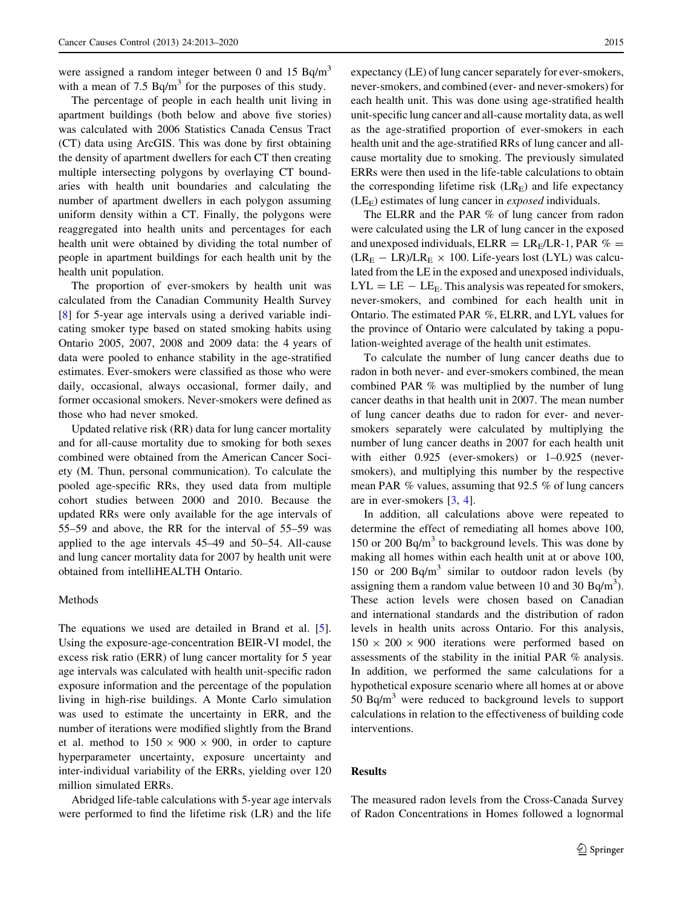were assigned a random integer between 0 and 15  $Ba/m<sup>3</sup>$ with a mean of 7.5  $Bq/m<sup>3</sup>$  for the purposes of this study.

The percentage of people in each health unit living in apartment buildings (both below and above five stories) was calculated with 2006 Statistics Canada Census Tract (CT) data using ArcGIS. This was done by first obtaining the density of apartment dwellers for each CT then creating multiple intersecting polygons by overlaying CT boundaries with health unit boundaries and calculating the number of apartment dwellers in each polygon assuming uniform density within a CT. Finally, the polygons were reaggregated into health units and percentages for each health unit were obtained by dividing the total number of people in apartment buildings for each health unit by the health unit population.

The proportion of ever-smokers by health unit was calculated from the Canadian Community Health Survey [\[8](#page-6-0)] for 5-year age intervals using a derived variable indicating smoker type based on stated smoking habits using Ontario 2005, 2007, 2008 and 2009 data: the 4 years of data were pooled to enhance stability in the age-stratified estimates. Ever-smokers were classified as those who were daily, occasional, always occasional, former daily, and former occasional smokers. Never-smokers were defined as those who had never smoked.

Updated relative risk (RR) data for lung cancer mortality and for all-cause mortality due to smoking for both sexes combined were obtained from the American Cancer Society (M. Thun, personal communication). To calculate the pooled age-specific RRs, they used data from multiple cohort studies between 2000 and 2010. Because the updated RRs were only available for the age intervals of 55–59 and above, the RR for the interval of 55–59 was applied to the age intervals 45–49 and 50–54. All-cause and lung cancer mortality data for 2007 by health unit were obtained from intelliHEALTH Ontario.

#### Methods

The equations we used are detailed in Brand et al. [\[5](#page-6-0)]. Using the exposure-age-concentration BEIR-VI model, the excess risk ratio (ERR) of lung cancer mortality for 5 year age intervals was calculated with health unit-specific radon exposure information and the percentage of the population living in high-rise buildings. A Monte Carlo simulation was used to estimate the uncertainty in ERR, and the number of iterations were modified slightly from the Brand et al. method to  $150 \times 900 \times 900$ , in order to capture hyperparameter uncertainty, exposure uncertainty and inter-individual variability of the ERRs, yielding over 120 million simulated ERRs.

Abridged life-table calculations with 5-year age intervals were performed to find the lifetime risk (LR) and the life expectancy (LE) of lung cancer separately for ever-smokers, never-smokers, and combined (ever- and never-smokers) for each health unit. This was done using age-stratified health unit-specific lung cancer and all-cause mortality data, as well as the age-stratified proportion of ever-smokers in each health unit and the age-stratified RRs of lung cancer and allcause mortality due to smoking. The previously simulated ERRs were then used in the life-table calculations to obtain the corresponding lifetime risk  $(LR<sub>E</sub>)$  and life expectancy  $(LE<sub>E</sub>)$  estimates of lung cancer in *exposed* individuals.

The ELRR and the PAR % of lung cancer from radon were calculated using the LR of lung cancer in the exposed and unexposed individuals,  $ELRR = LR<sub>E</sub>/LR-1$ , PAR  $% =$  $(LR_E - LR)/LR_E \times 100$ . Life-years lost (LYL) was calculated from the LE in the exposed and unexposed individuals,  $LYL = LE - LE<sub>E</sub>$ . This analysis was repeated for smokers, never-smokers, and combined for each health unit in Ontario. The estimated PAR %, ELRR, and LYL values for the province of Ontario were calculated by taking a population-weighted average of the health unit estimates.

To calculate the number of lung cancer deaths due to radon in both never- and ever-smokers combined, the mean combined PAR % was multiplied by the number of lung cancer deaths in that health unit in 2007. The mean number of lung cancer deaths due to radon for ever- and neversmokers separately were calculated by multiplying the number of lung cancer deaths in 2007 for each health unit with either 0.925 (ever-smokers) or 1–0.925 (neversmokers), and multiplying this number by the respective mean PAR % values, assuming that 92.5 % of lung cancers are in ever-smokers [\[3](#page-6-0), [4](#page-6-0)].

In addition, all calculations above were repeated to determine the effect of remediating all homes above 100, 150 or 200 Bq/m<sup>3</sup> to background levels. This was done by making all homes within each health unit at or above 100, 150 or 200 Bq/m<sup>3</sup> similar to outdoor radon levels (by assigning them a random value between 10 and 30  $Bq/m<sup>3</sup>$ ). These action levels were chosen based on Canadian and international standards and the distribution of radon levels in health units across Ontario. For this analysis,  $150 \times 200 \times 900$  iterations were performed based on assessments of the stability in the initial PAR % analysis. In addition, we performed the same calculations for a hypothetical exposure scenario where all homes at or above  $50$  Bq/m<sup>3</sup> were reduced to background levels to support calculations in relation to the effectiveness of building code interventions.

# Results

The measured radon levels from the Cross-Canada Survey of Radon Concentrations in Homes followed a lognormal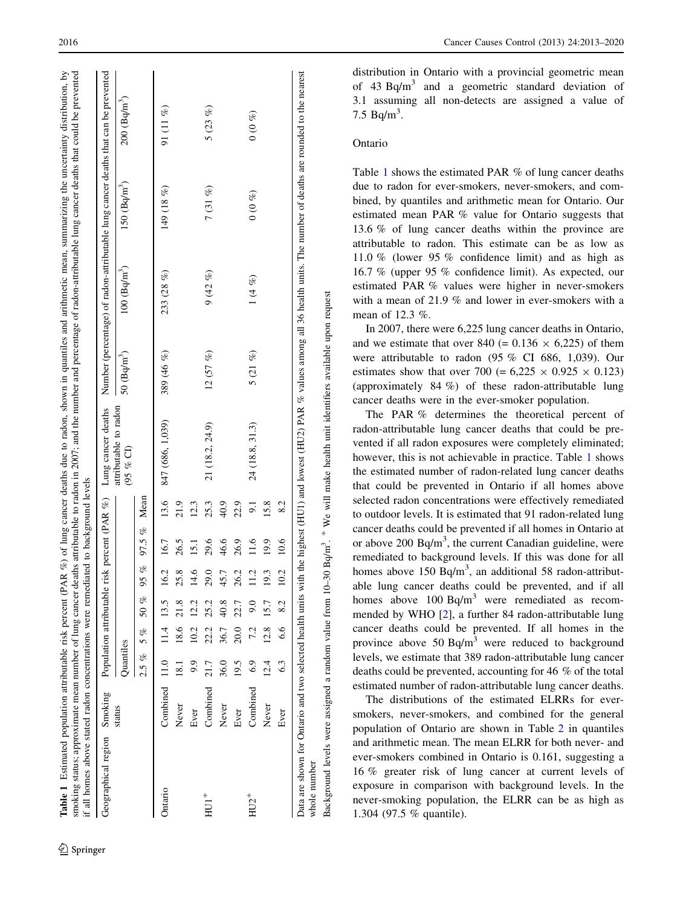<span id="page-3-0"></span>

| Geographical region Smoking |               |                   |      |           |                                | Population attributable risk percent (PAR %) |                  | Lung cancer deaths                                                                                                                                     |              |                        |                          | Number (percentage) of radon-attributable lung cancer deaths that can be prevented                                                                                                       |
|-----------------------------|---------------|-------------------|------|-----------|--------------------------------|----------------------------------------------|------------------|--------------------------------------------------------------------------------------------------------------------------------------------------------|--------------|------------------------|--------------------------|------------------------------------------------------------------------------------------------------------------------------------------------------------------------------------------|
|                             | status        | Quantiles         |      |           |                                |                                              |                  | attributable to radon<br>(95 % G)                                                                                                                      | 50 $(Bq/m3)$ | $100 \text{ (Bq/m}^3)$ | $150 \; (\text{Bq/m}^3)$ | $200 \text{ (Bq/m}^3)$                                                                                                                                                                   |
|                             |               | $2.5\%$           | 5 %  | $50\ \%$  | $\mathscr{E}$<br>$\mathcal{S}$ | $97.5\%$                                     | Mean             |                                                                                                                                                        |              |                        |                          |                                                                                                                                                                                          |
| Ontario                     | Combined 11.0 |                   |      | 11.4 13.5 | ن.                             | 16.7                                         | 13.6             | 847 (686, 1,039)                                                                                                                                       | 389 (46 %)   | 233(28%)               | 149(18%)                 | 91(11%)                                                                                                                                                                                  |
|                             | Never         | $\overline{18.1}$ |      | 18.6 21.8 | ∞ฺ<br>25                       | 26.5                                         | 21.9             |                                                                                                                                                        |              |                        |                          |                                                                                                                                                                                          |
|                             | Ever          | 9.9               | 10.2 | 12.2      | ڢ<br>⋣                         | 15.1                                         | 12.3             |                                                                                                                                                        |              |                        |                          |                                                                                                                                                                                          |
| $HUI^+$                     | Combined      | 21.7              | 22.2 | 25.2      | 29.0                           | 29.6                                         | 25.3             | 21 (18.2, 24.9)                                                                                                                                        | 12(57%)      | 9(42%)                 | 7(31%)                   | 5(23%)                                                                                                                                                                                   |
|                             | Never         | 36.0              | 36.7 | 40.8      | 45.7                           | 46.6                                         | 40.9             |                                                                                                                                                        |              |                        |                          |                                                                                                                                                                                          |
|                             | Ever          | 19.5              | 20.0 | 22.7      | 26.2                           | 26.9                                         | 22.9             |                                                                                                                                                        |              |                        |                          |                                                                                                                                                                                          |
| $HU2^+$                     | Combined      | 6.9               | 7.2  | 9.0       | Ċ,                             | 1.6                                          | $\overline{9}$ . | 24 (18.8, 31.3)                                                                                                                                        | $5(21\%)$    | $1(4\%)$               | (0, 0, 0)                | (0, 0, 0)                                                                                                                                                                                |
|                             | Never         | 12.4              | 12.8 | 15.7      | Ċ,                             | 19.9                                         | 15.8             |                                                                                                                                                        |              |                        |                          |                                                                                                                                                                                          |
|                             | Ever          | 6.3               | 6.6  | 8.2       | 10.2                           | 10.6                                         | 8.2              |                                                                                                                                                        |              |                        |                          |                                                                                                                                                                                          |
| whole number                |               |                   |      |           |                                |                                              |                  |                                                                                                                                                        |              |                        |                          | Data are shown for Ontario and two selected health units with the highest (HU1) and lowest (HU2) PAR % values among all 36 health units. The number of deaths are rounded to the nearest |
|                             |               |                   |      |           |                                |                                              |                  | Background levels were assigned a random value from 10-30 Bq/m <sup>3</sup> . <sup>#</sup> We will make health unit identifiers available upon request |              |                        |                          |                                                                                                                                                                                          |

distribution in Ontario with a provincial geometric mean of 43 Bq/m<sup>3</sup> and a geometric standard deviation of 3.1 assuming all non-detects are assigned a value of 7.5  $Bq/m^3$ .

# Ontario

Table 1 shows the estimated PAR % of lung cancer deaths due to radon for ever-smokers, never-smokers, and combined, by quantiles and arithmetic mean for Ontario. Our estimated mean PAR % value for Ontario suggests that 13.6 % of lung cancer deaths within the province are attributable to radon. This estimate can be as low as 11.0 % (lower 95 % confidence limit) and as high as 16.7 % (upper 95 % confidence limit). As expected, our estimated PAR % values were higher in never-smokers with a mean of 21.9 % and lower in ever-smokers with a mean of 12.3 %.

In 2007, there were 6,225 lung cancer deaths in Ontario, and we estimate that over 840 (=  $0.136 \times 6,225$ ) of them were attributable to radon (95 % CI 686, 1,039). Our estimates show that over 700 (=  $6,225 \times 0.925 \times 0.123$ ) (approximately 84 %) of these radon-attributable lung cancer deaths were in the ever-smoker population.

The PAR % determines the theoretical percent of radon-attributable lung cancer deaths that could be prevented if all radon exposures were completely eliminated; however, this is not achievable in practice. Table 1 shows the estimated number of radon-related lung cancer deaths that could be prevented in Ontario if all homes above selected radon concentrations were effectively remediated to outdoor levels. It is estimated that 91 radon-related lung cancer deaths could be prevented if all homes in Ontario at or above 200  $Bq/m<sup>3</sup>$ , the current Canadian guideline, were remediated to background levels. If this was done for all homes above 150  $Bq/m<sup>3</sup>$ , an additional 58 radon-attributable lung cancer deaths could be prevented, and if all homes above  $100 \text{ Bq/m}^3$  were remediated as recommended by WHO [\[2](#page-6-0)], a further 84 radon-attributable lung cancer deaths could be prevented. If all homes in the province above 50 Bq/m<sup>3</sup> were reduced to background levels, we estimate that 389 radon-attributable lung cancer deaths could be prevented, accounting for 46 % of the total estimated number of radon-attributable lung cancer deaths.

The distributions of the estimated ELRRs for eversmokers, never-smokers, and combined for the general population of Ontario are shown in Table [2](#page-4-0) in quantiles and arithmetic mean. The mean ELRR for both never- and ever-smokers combined in Ontario is 0.161, suggesting a 16 % greater risk of lung cancer at current levels of exposure in comparison with background levels. In the never-smoking population, the ELRR can be as high as 1.304 (97.5 % quantile).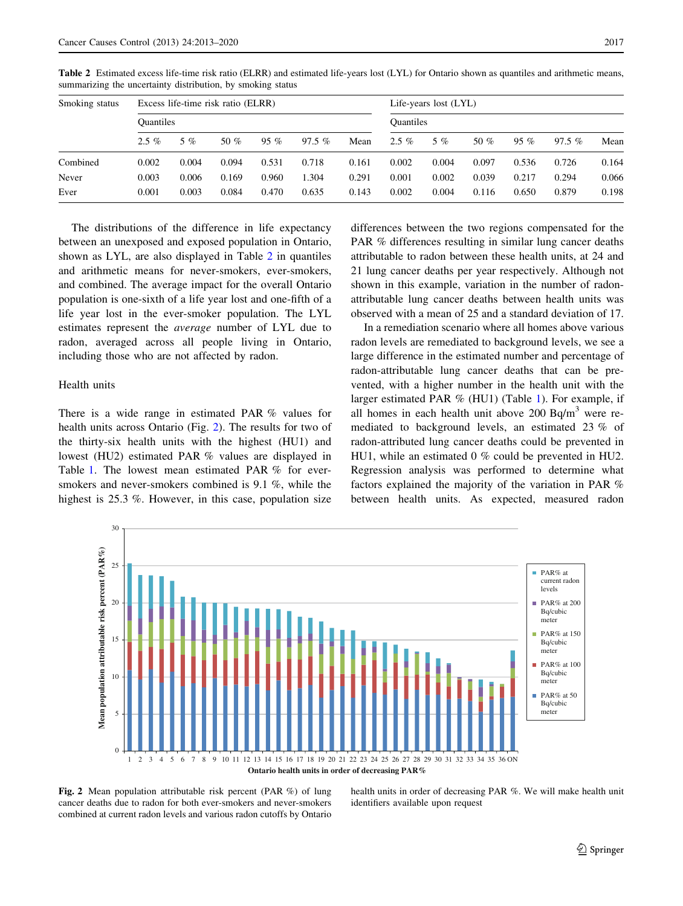| Smoking status | Excess life-time risk ratio (ELRR) |       |        |        |          |       | Life-years lost (LYL) |       |        |        |          |       |
|----------------|------------------------------------|-------|--------|--------|----------|-------|-----------------------|-------|--------|--------|----------|-------|
|                | <b>Ouantiles</b>                   |       |        |        |          |       | <b>Ouantiles</b>      |       |        |        |          |       |
|                | $2.5\%$                            | 5 %   | 50 $%$ | $95\%$ | $97.5\%$ | Mean  | $2.5\%$               | $5\%$ | 50 $%$ | $95\%$ | $97.5\%$ | Mean  |
| Combined       | 0.002                              | 0.004 | 0.094  | 0.531  | 0.718    | 0.161 | 0.002                 | 0.004 | 0.097  | 0.536  | 0.726    | 0.164 |
| Never          | 0.003                              | 0.006 | 0.169  | 0.960  | 1.304    | 0.291 | 0.001                 | 0.002 | 0.039  | 0.217  | 0.294    | 0.066 |
| Ever           | 0.001                              | 0.003 | 0.084  | 0.470  | 0.635    | 0.143 | 0.002                 | 0.004 | 0.116  | 0.650  | 0.879    | 0.198 |

<span id="page-4-0"></span>Table 2 Estimated excess life-time risk ratio (ELRR) and estimated life-years lost (LYL) for Ontario shown as quantiles and arithmetic means, summarizing the uncertainty distribution, by smoking status

The distributions of the difference in life expectancy between an unexposed and exposed population in Ontario, shown as LYL, are also displayed in Table 2 in quantiles and arithmetic means for never-smokers, ever-smokers, and combined. The average impact for the overall Ontario population is one-sixth of a life year lost and one-fifth of a life year lost in the ever-smoker population. The LYL estimates represent the average number of LYL due to radon, averaged across all people living in Ontario, including those who are not affected by radon.

# Health units

There is a wide range in estimated PAR % values for health units across Ontario (Fig. 2). The results for two of the thirty-six health units with the highest (HU1) and lowest (HU2) estimated PAR % values are displayed in Table [1](#page-3-0). The lowest mean estimated PAR % for eversmokers and never-smokers combined is 9.1 %, while the highest is 25.3 %. However, in this case, population size differences between the two regions compensated for the PAR % differences resulting in similar lung cancer deaths attributable to radon between these health units, at 24 and 21 lung cancer deaths per year respectively. Although not shown in this example, variation in the number of radonattributable lung cancer deaths between health units was observed with a mean of 25 and a standard deviation of 17.

In a remediation scenario where all homes above various radon levels are remediated to background levels, we see a large difference in the estimated number and percentage of radon-attributable lung cancer deaths that can be prevented, with a higher number in the health unit with the larger estimated PAR % (HU1) (Table [1](#page-3-0)). For example, if all homes in each health unit above  $200$  Bq/m<sup>3</sup> were remediated to background levels, an estimated 23 % of radon-attributed lung cancer deaths could be prevented in HU1, while an estimated 0 % could be prevented in HU2. Regression analysis was performed to determine what factors explained the majority of the variation in PAR % between health units. As expected, measured radon



Fig. 2 Mean population attributable risk percent (PAR %) of lung cancer deaths due to radon for both ever-smokers and never-smokers combined at current radon levels and various radon cutoffs by Ontario

health units in order of decreasing PAR %. We will make health unit identifiers available upon request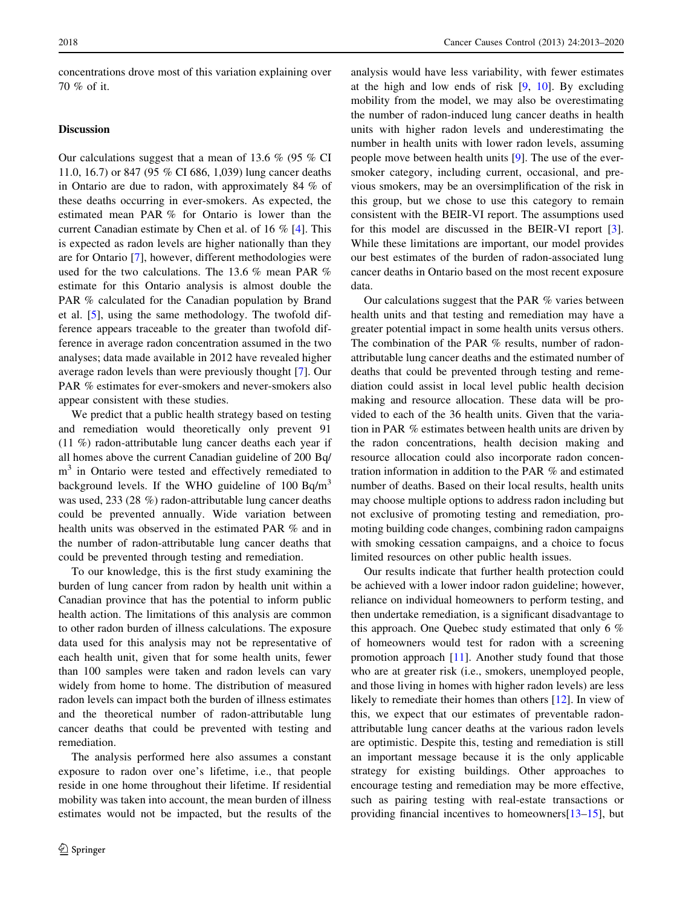concentrations drove most of this variation explaining over 70 % of it.

# Discussion

Our calculations suggest that a mean of 13.6 % (95 % CI 11.0, 16.7) or 847 (95 % CI 686, 1,039) lung cancer deaths in Ontario are due to radon, with approximately 84 % of these deaths occurring in ever-smokers. As expected, the estimated mean PAR % for Ontario is lower than the current Canadian estimate by Chen et al. of 16 % [[4\]](#page-6-0). This is expected as radon levels are higher nationally than they are for Ontario [\[7](#page-6-0)], however, different methodologies were used for the two calculations. The 13.6 % mean PAR % estimate for this Ontario analysis is almost double the PAR % calculated for the Canadian population by Brand et al. [\[5](#page-6-0)], using the same methodology. The twofold difference appears traceable to the greater than twofold difference in average radon concentration assumed in the two analyses; data made available in 2012 have revealed higher average radon levels than were previously thought [\[7](#page-6-0)]. Our PAR % estimates for ever-smokers and never-smokers also appear consistent with these studies.

We predict that a public health strategy based on testing and remediation would theoretically only prevent 91 (11 %) radon-attributable lung cancer deaths each year if all homes above the current Canadian guideline of 200 Bq/  $m<sup>3</sup>$  in Ontario were tested and effectively remediated to background levels. If the WHO guideline of  $100$  Bq/m<sup>3</sup> was used, 233 (28 %) radon-attributable lung cancer deaths could be prevented annually. Wide variation between health units was observed in the estimated PAR % and in the number of radon-attributable lung cancer deaths that could be prevented through testing and remediation.

To our knowledge, this is the first study examining the burden of lung cancer from radon by health unit within a Canadian province that has the potential to inform public health action. The limitations of this analysis are common to other radon burden of illness calculations. The exposure data used for this analysis may not be representative of each health unit, given that for some health units, fewer than 100 samples were taken and radon levels can vary widely from home to home. The distribution of measured radon levels can impact both the burden of illness estimates and the theoretical number of radon-attributable lung cancer deaths that could be prevented with testing and remediation.

The analysis performed here also assumes a constant exposure to radon over one's lifetime, i.e., that people reside in one home throughout their lifetime. If residential mobility was taken into account, the mean burden of illness estimates would not be impacted, but the results of the

analysis would have less variability, with fewer estimates at the high and low ends of risk  $[9, 10]$  $[9, 10]$  $[9, 10]$  $[9, 10]$ . By excluding mobility from the model, we may also be overestimating the number of radon-induced lung cancer deaths in health units with higher radon levels and underestimating the number in health units with lower radon levels, assuming people move between health units [[9\]](#page-6-0). The use of the eversmoker category, including current, occasional, and previous smokers, may be an oversimplification of the risk in this group, but we chose to use this category to remain consistent with the BEIR-VI report. The assumptions used for this model are discussed in the BEIR-VI report [\[3](#page-6-0)]. While these limitations are important, our model provides our best estimates of the burden of radon-associated lung cancer deaths in Ontario based on the most recent exposure data.

Our calculations suggest that the PAR % varies between health units and that testing and remediation may have a greater potential impact in some health units versus others. The combination of the PAR % results, number of radonattributable lung cancer deaths and the estimated number of deaths that could be prevented through testing and remediation could assist in local level public health decision making and resource allocation. These data will be provided to each of the 36 health units. Given that the variation in PAR % estimates between health units are driven by the radon concentrations, health decision making and resource allocation could also incorporate radon concentration information in addition to the PAR % and estimated number of deaths. Based on their local results, health units may choose multiple options to address radon including but not exclusive of promoting testing and remediation, promoting building code changes, combining radon campaigns with smoking cessation campaigns, and a choice to focus limited resources on other public health issues.

Our results indicate that further health protection could be achieved with a lower indoor radon guideline; however, reliance on individual homeowners to perform testing, and then undertake remediation, is a significant disadvantage to this approach. One Quebec study estimated that only 6 % of homeowners would test for radon with a screening promotion approach [\[11](#page-7-0)]. Another study found that those who are at greater risk (i.e., smokers, unemployed people, and those living in homes with higher radon levels) are less likely to remediate their homes than others [\[12](#page-7-0)]. In view of this, we expect that our estimates of preventable radonattributable lung cancer deaths at the various radon levels are optimistic. Despite this, testing and remediation is still an important message because it is the only applicable strategy for existing buildings. Other approaches to encourage testing and remediation may be more effective, such as pairing testing with real-estate transactions or providing financial incentives to homeowners[[13](#page-7-0)–[15\]](#page-7-0), but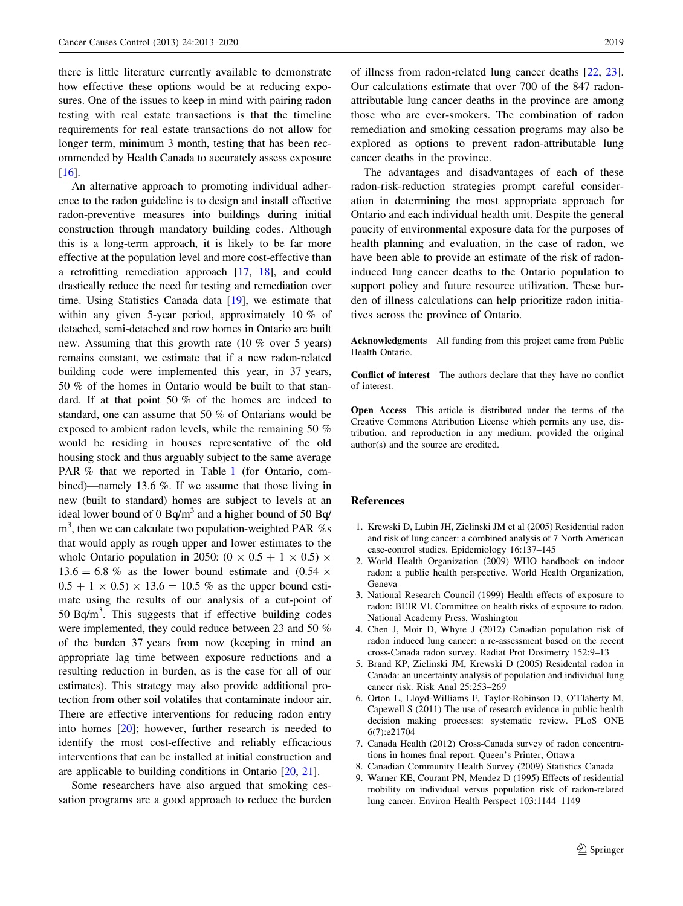<span id="page-6-0"></span>there is little literature currently available to demonstrate how effective these options would be at reducing exposures. One of the issues to keep in mind with pairing radon testing with real estate transactions is that the timeline requirements for real estate transactions do not allow for longer term, minimum 3 month, testing that has been recommended by Health Canada to accurately assess exposure [\[16](#page-7-0)].

An alternative approach to promoting individual adherence to the radon guideline is to design and install effective radon-preventive measures into buildings during initial construction through mandatory building codes. Although this is a long-term approach, it is likely to be far more effective at the population level and more cost-effective than a retrofitting remediation approach [\[17](#page-7-0), [18](#page-7-0)], and could drastically reduce the need for testing and remediation over time. Using Statistics Canada data [\[19\]](#page-7-0), we estimate that within any given 5-year period, approximately 10 % of detached, semi-detached and row homes in Ontario are built new. Assuming that this growth rate (10 % over 5 years) remains constant, we estimate that if a new radon-related building code were implemented this year, in 37 years, 50 % of the homes in Ontario would be built to that standard. If at that point 50 % of the homes are indeed to standard, one can assume that 50 % of Ontarians would be exposed to ambient radon levels, while the remaining 50 % would be residing in houses representative of the old housing stock and thus arguably subject to the same average PAR % that we reported in Table [1](#page-3-0) (for Ontario, combined)—namely 13.6 %. If we assume that those living in new (built to standard) homes are subject to levels at an ideal lower bound of 0 Bq/m<sup>3</sup> and a higher bound of 50 Bq/  $m<sup>3</sup>$ , then we can calculate two population-weighted PAR %s that would apply as rough upper and lower estimates to the whole Ontario population in 2050:  $(0 \times 0.5 + 1 \times 0.5) \times$  $13.6 = 6.8\%$  as the lower bound estimate and  $(0.54 \times$  $0.5 + 1 \times 0.5 \times 13.6 = 10.5 \%$  as the upper bound estimate using the results of our analysis of a cut-point of 50 Bq/m<sup>3</sup>. This suggests that if effective building codes were implemented, they could reduce between 23 and 50 % of the burden 37 years from now (keeping in mind an appropriate lag time between exposure reductions and a resulting reduction in burden, as is the case for all of our estimates). This strategy may also provide additional protection from other soil volatiles that contaminate indoor air. There are effective interventions for reducing radon entry into homes [\[20](#page-7-0)]; however, further research is needed to identify the most cost-effective and reliably efficacious interventions that can be installed at initial construction and are applicable to building conditions in Ontario [\[20,](#page-7-0) [21](#page-7-0)].

Some researchers have also argued that smoking cessation programs are a good approach to reduce the burden of illness from radon-related lung cancer deaths [\[22](#page-7-0), [23](#page-7-0)]. Our calculations estimate that over 700 of the 847 radonattributable lung cancer deaths in the province are among those who are ever-smokers. The combination of radon remediation and smoking cessation programs may also be explored as options to prevent radon-attributable lung cancer deaths in the province.

The advantages and disadvantages of each of these radon-risk-reduction strategies prompt careful consideration in determining the most appropriate approach for Ontario and each individual health unit. Despite the general paucity of environmental exposure data for the purposes of health planning and evaluation, in the case of radon, we have been able to provide an estimate of the risk of radoninduced lung cancer deaths to the Ontario population to support policy and future resource utilization. These burden of illness calculations can help prioritize radon initiatives across the province of Ontario.

Acknowledgments All funding from this project came from Public Health Ontario.

Conflict of interest The authors declare that they have no conflict of interest.

Open Access This article is distributed under the terms of the Creative Commons Attribution License which permits any use, distribution, and reproduction in any medium, provided the original author(s) and the source are credited.

#### References

- 1. Krewski D, Lubin JH, Zielinski JM et al (2005) Residential radon and risk of lung cancer: a combined analysis of 7 North American case-control studies. Epidemiology 16:137–145
- 2. World Health Organization (2009) WHO handbook on indoor radon: a public health perspective. World Health Organization, Geneva
- 3. National Research Council (1999) Health effects of exposure to radon: BEIR VI. Committee on health risks of exposure to radon. National Academy Press, Washington
- 4. Chen J, Moir D, Whyte J (2012) Canadian population risk of radon induced lung cancer: a re-assessment based on the recent cross-Canada radon survey. Radiat Prot Dosimetry 152:9–13
- 5. Brand KP, Zielinski JM, Krewski D (2005) Residental radon in Canada: an uncertainty analysis of population and individual lung cancer risk. Risk Anal 25:253–269
- 6. Orton L, Lloyd-Williams F, Taylor-Robinson D, O'Flaherty M, Capewell S (2011) The use of research evidence in public health decision making processes: systematic review. PLoS ONE 6(7):e21704
- 7. Canada Health (2012) Cross-Canada survey of radon concentrations in homes final report. Queen's Printer, Ottawa
- 8. Canadian Community Health Survey (2009) Statistics Canada
- 9. Warner KE, Courant PN, Mendez D (1995) Effects of residential mobility on individual versus population risk of radon-related lung cancer. Environ Health Perspect 103:1144–1149